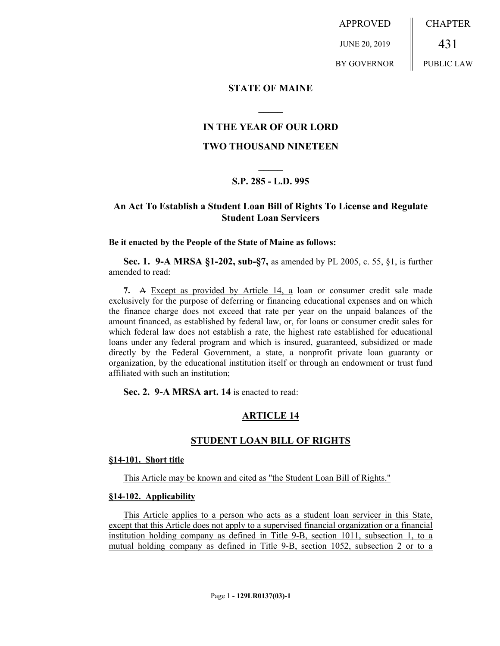APPROVED JUNE 20, 2019 BY GOVERNOR CHAPTER 431 PUBLIC LAW

### **STATE OF MAINE**

# **IN THE YEAR OF OUR LORD**

**\_\_\_\_\_**

### **TWO THOUSAND NINETEEN**

# **\_\_\_\_\_ S.P. 285 - L.D. 995**

# **An Act To Establish a Student Loan Bill of Rights To License and Regulate Student Loan Servicers**

### **Be it enacted by the People of the State of Maine as follows:**

**Sec. 1. 9-A MRSA §1-202, sub-§7,** as amended by PL 2005, c. 55, §1, is further amended to read:

**7.** A Except as provided by Article 14, a loan or consumer credit sale made exclusively for the purpose of deferring or financing educational expenses and on which the finance charge does not exceed that rate per year on the unpaid balances of the amount financed, as established by federal law, or, for loans or consumer credit sales for which federal law does not establish a rate, the highest rate established for educational loans under any federal program and which is insured, guaranteed, subsidized or made directly by the Federal Government, a state, a nonprofit private loan guaranty or organization, by the educational institution itself or through an endowment or trust fund affiliated with such an institution;

**Sec. 2. 9-A MRSA art. 14** is enacted to read:

# **ARTICLE 14**

### **STUDENT LOAN BILL OF RIGHTS**

#### **§14-101. Short title**

This Article may be known and cited as "the Student Loan Bill of Rights."

### **§14-102. Applicability**

This Article applies to a person who acts as a student loan servicer in this State, except that this Article does not apply to a supervised financial organization or a financial institution holding company as defined in Title 9-B, section 1011, subsection 1, to a mutual holding company as defined in Title 9-B, section 1052, subsection 2 or to a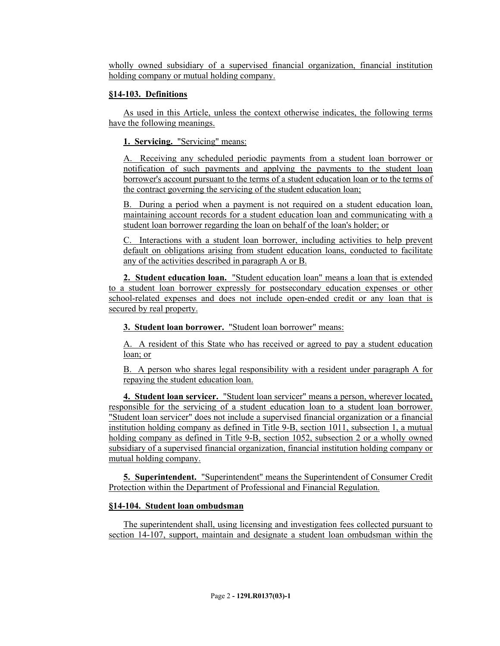wholly owned subsidiary of a supervised financial organization, financial institution holding company or mutual holding company.

# **§14-103. Definitions**

As used in this Article, unless the context otherwise indicates, the following terms have the following meanings.

**1. Servicing.** "Servicing" means:

A. Receiving any scheduled periodic payments from a student loan borrower or notification of such payments and applying the payments to the student loan borrower's account pursuant to the terms of a student education loan or to the terms of the contract governing the servicing of the student education loan;

B. During a period when a payment is not required on a student education loan, maintaining account records for a student education loan and communicating with a student loan borrower regarding the loan on behalf of the loan's holder; or

C. Interactions with a student loan borrower, including activities to help prevent default on obligations arising from student education loans, conducted to facilitate any of the activities described in paragraph A or B.

**2. Student education loan.** "Student education loan" means a loan that is extended to a student loan borrower expressly for postsecondary education expenses or other school-related expenses and does not include open-ended credit or any loan that is secured by real property.

**3. Student loan borrower.** "Student loan borrower" means:

A. A resident of this State who has received or agreed to pay a student education loan; or

B. A person who shares legal responsibility with a resident under paragraph A for repaying the student education loan.

**4. Student loan servicer.** "Student loan servicer" means a person, wherever located, responsible for the servicing of a student education loan to a student loan borrower. "Student loan servicer" does not include a supervised financial organization or a financial institution holding company as defined in Title 9-B, section 1011, subsection 1, a mutual holding company as defined in Title 9-B, section 1052, subsection 2 or a wholly owned subsidiary of a supervised financial organization, financial institution holding company or mutual holding company.

**5. Superintendent.** "Superintendent" means the Superintendent of Consumer Credit Protection within the Department of Professional and Financial Regulation.

# **§14-104. Student loan ombudsman**

The superintendent shall, using licensing and investigation fees collected pursuant to section 14-107, support, maintain and designate a student loan ombudsman within the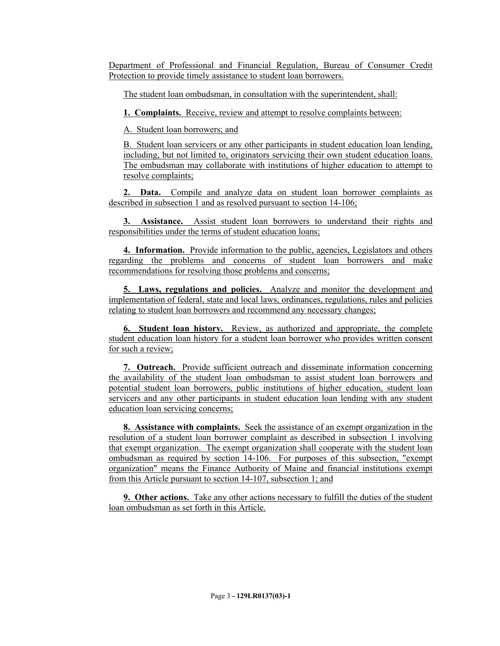Department of Professional and Financial Regulation, Bureau of Consumer Credit Protection to provide timely assistance to student loan borrowers.

The student loan ombudsman, in consultation with the superintendent, shall:

**1. Complaints.** Receive, review and attempt to resolve complaints between:

A. Student loan borrowers; and

B. Student loan servicers or any other participants in student education loan lending, including, but not limited to, originators servicing their own student education loans. The ombudsman may collaborate with institutions of higher education to attempt to resolve complaints;

**2. Data.** Compile and analyze data on student loan borrower complaints as described in subsection 1 and as resolved pursuant to section 14-106;

**3. Assistance.** Assist student loan borrowers to understand their rights and responsibilities under the terms of student education loans;

**4. Information.** Provide information to the public, agencies, Legislators and others regarding the problems and concerns of student loan borrowers and make recommendations for resolving those problems and concerns;

**5. Laws, regulations and policies.** Analyze and monitor the development and implementation of federal, state and local laws, ordinances, regulations, rules and policies relating to student loan borrowers and recommend any necessary changes;

**6. Student loan history.** Review, as authorized and appropriate, the complete student education loan history for a student loan borrower who provides written consent for such a review;

**7. Outreach.** Provide sufficient outreach and disseminate information concerning the availability of the student loan ombudsman to assist student loan borrowers and potential student loan borrowers, public institutions of higher education, student loan servicers and any other participants in student education loan lending with any student education loan servicing concerns;

**8. Assistance with complaints.** Seek the assistance of an exempt organization in the resolution of a student loan borrower complaint as described in subsection 1 involving that exempt organization. The exempt organization shall cooperate with the student loan ombudsman as required by section 14-106. For purposes of this subsection, "exempt organization" means the Finance Authority of Maine and financial institutions exempt from this Article pursuant to section 14-107, subsection 1; and

**9. Other actions.** Take any other actions necessary to fulfill the duties of the student loan ombudsman as set forth in this Article.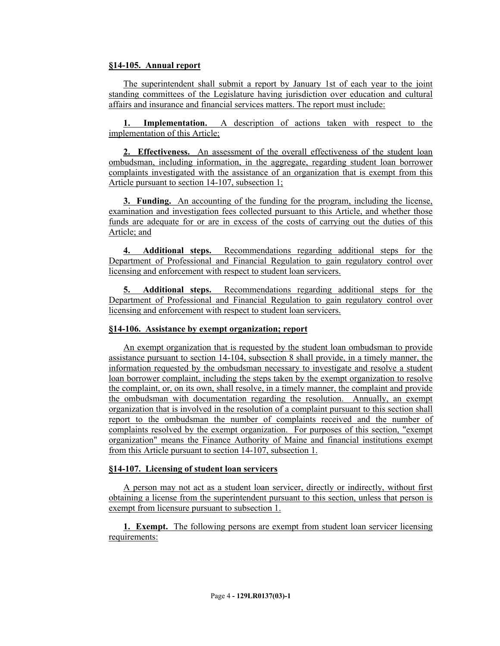# **§14-105. Annual report**

The superintendent shall submit a report by January 1st of each year to the joint standing committees of the Legislature having jurisdiction over education and cultural affairs and insurance and financial services matters. The report must include:

**1. Implementation.** A description of actions taken with respect to the implementation of this Article;

**2. Effectiveness.** An assessment of the overall effectiveness of the student loan ombudsman, including information, in the aggregate, regarding student loan borrower complaints investigated with the assistance of an organization that is exempt from this Article pursuant to section 14-107, subsection 1;

**3. Funding.** An accounting of the funding for the program, including the license, examination and investigation fees collected pursuant to this Article, and whether those funds are adequate for or are in excess of the costs of carrying out the duties of this Article; and

**4. Additional steps.** Recommendations regarding additional steps for the Department of Professional and Financial Regulation to gain regulatory control over licensing and enforcement with respect to student loan servicers.

**5. Additional steps.** Recommendations regarding additional steps for the Department of Professional and Financial Regulation to gain regulatory control over licensing and enforcement with respect to student loan servicers.

### **§14-106. Assistance by exempt organization; report**

An exempt organization that is requested by the student loan ombudsman to provide assistance pursuant to section 14-104, subsection 8 shall provide, in a timely manner, the information requested by the ombudsman necessary to investigate and resolve a student loan borrower complaint, including the steps taken by the exempt organization to resolve the complaint, or, on its own, shall resolve, in a timely manner, the complaint and provide the ombudsman with documentation regarding the resolution. Annually, an exempt organization that is involved in the resolution of a complaint pursuant to this section shall report to the ombudsman the number of complaints received and the number of complaints resolved by the exempt organization. For purposes of this section, "exempt organization" means the Finance Authority of Maine and financial institutions exempt from this Article pursuant to section 14-107, subsection 1.

### **§14-107. Licensing of student loan servicers**

A person may not act as a student loan servicer, directly or indirectly, without first obtaining a license from the superintendent pursuant to this section, unless that person is exempt from licensure pursuant to subsection 1.

**1. Exempt.** The following persons are exempt from student loan servicer licensing requirements: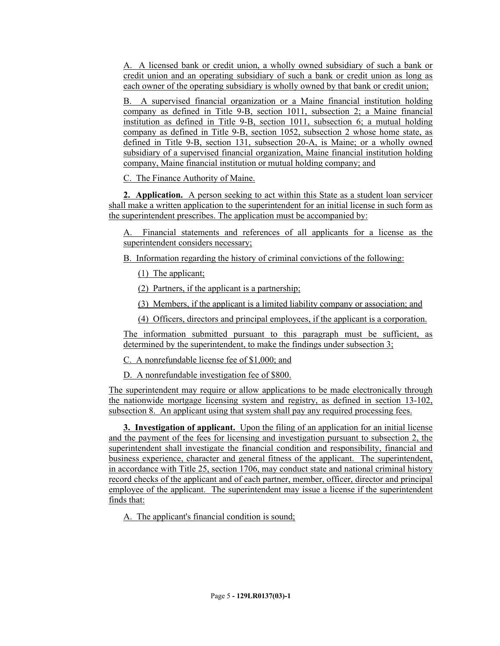A. A licensed bank or credit union, a wholly owned subsidiary of such a bank or credit union and an operating subsidiary of such a bank or credit union as long as each owner of the operating subsidiary is wholly owned by that bank or credit union;

B. A supervised financial organization or a Maine financial institution holding company as defined in Title 9-B, section 1011, subsection 2; a Maine financial institution as defined in Title 9-B, section 1011, subsection 6; a mutual holding company as defined in Title 9-B, section 1052, subsection 2 whose home state, as defined in Title 9-B, section 131, subsection 20-A, is Maine; or a wholly owned subsidiary of a supervised financial organization, Maine financial institution holding company, Maine financial institution or mutual holding company; and

C. The Finance Authority of Maine.

**2. Application.** A person seeking to act within this State as a student loan servicer shall make a written application to the superintendent for an initial license in such form as the superintendent prescribes. The application must be accompanied by:

A. Financial statements and references of all applicants for a license as the superintendent considers necessary;

B. Information regarding the history of criminal convictions of the following:

(1) The applicant;

(2) Partners, if the applicant is a partnership;

(3) Members, if the applicant is a limited liability company or association; and

(4) Officers, directors and principal employees, if the applicant is a corporation.

The information submitted pursuant to this paragraph must be sufficient, as determined by the superintendent, to make the findings under subsection 3;

C. A nonrefundable license fee of \$1,000; and

D. A nonrefundable investigation fee of \$800.

The superintendent may require or allow applications to be made electronically through the nationwide mortgage licensing system and registry, as defined in section 13-102, subsection 8. An applicant using that system shall pay any required processing fees.

**3. Investigation of applicant.** Upon the filing of an application for an initial license and the payment of the fees for licensing and investigation pursuant to subsection 2, the superintendent shall investigate the financial condition and responsibility, financial and business experience, character and general fitness of the applicant. The superintendent, in accordance with Title 25, section 1706, may conduct state and national criminal history record checks of the applicant and of each partner, member, officer, director and principal employee of the applicant. The superintendent may issue a license if the superintendent finds that:

A. The applicant's financial condition is sound;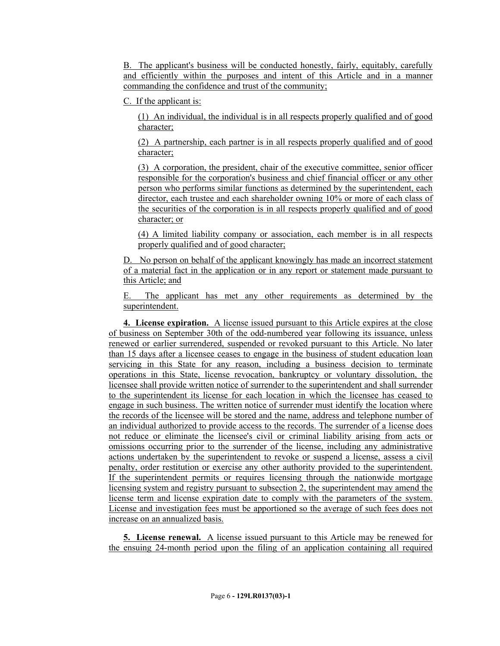B. The applicant's business will be conducted honestly, fairly, equitably, carefully and efficiently within the purposes and intent of this Article and in a manner commanding the confidence and trust of the community;

C. If the applicant is:

(1) An individual, the individual is in all respects properly qualified and of good character;

(2) A partnership, each partner is in all respects properly qualified and of good character;

(3) A corporation, the president, chair of the executive committee, senior officer responsible for the corporation's business and chief financial officer or any other person who performs similar functions as determined by the superintendent, each director, each trustee and each shareholder owning 10% or more of each class of the securities of the corporation is in all respects properly qualified and of good character; or

(4) A limited liability company or association, each member is in all respects properly qualified and of good character;

D. No person on behalf of the applicant knowingly has made an incorrect statement of a material fact in the application or in any report or statement made pursuant to this Article; and

E. The applicant has met any other requirements as determined by the superintendent.

**4. License expiration.** A license issued pursuant to this Article expires at the close of business on September 30th of the odd-numbered year following its issuance, unless renewed or earlier surrendered, suspended or revoked pursuant to this Article. No later than 15 days after a licensee ceases to engage in the business of student education loan servicing in this State for any reason, including a business decision to terminate operations in this State, license revocation, bankruptcy or voluntary dissolution, the licensee shall provide written notice of surrender to the superintendent and shall surrender to the superintendent its license for each location in which the licensee has ceased to engage in such business. The written notice of surrender must identify the location where the records of the licensee will be stored and the name, address and telephone number of an individual authorized to provide access to the records. The surrender of a license does not reduce or eliminate the licensee's civil or criminal liability arising from acts or omissions occurring prior to the surrender of the license, including any administrative actions undertaken by the superintendent to revoke or suspend a license, assess a civil penalty, order restitution or exercise any other authority provided to the superintendent. If the superintendent permits or requires licensing through the nationwide mortgage licensing system and registry pursuant to subsection 2, the superintendent may amend the license term and license expiration date to comply with the parameters of the system. License and investigation fees must be apportioned so the average of such fees does not increase on an annualized basis.

**5. License renewal.** A license issued pursuant to this Article may be renewed for the ensuing 24-month period upon the filing of an application containing all required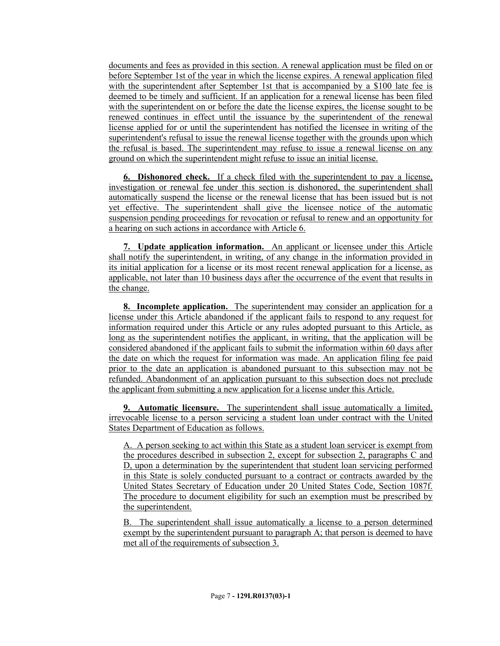documents and fees as provided in this section. A renewal application must be filed on or before September 1st of the year in which the license expires. A renewal application filed with the superintendent after September 1st that is accompanied by a \$100 late fee is deemed to be timely and sufficient. If an application for a renewal license has been filed with the superintendent on or before the date the license expires, the license sought to be renewed continues in effect until the issuance by the superintendent of the renewal license applied for or until the superintendent has notified the licensee in writing of the superintendent's refusal to issue the renewal license together with the grounds upon which the refusal is based. The superintendent may refuse to issue a renewal license on any ground on which the superintendent might refuse to issue an initial license.

**6. Dishonored check.** If a check filed with the superintendent to pay a license, investigation or renewal fee under this section is dishonored, the superintendent shall automatically suspend the license or the renewal license that has been issued but is not yet effective. The superintendent shall give the licensee notice of the automatic suspension pending proceedings for revocation or refusal to renew and an opportunity for a hearing on such actions in accordance with Article 6.

**7. Update application information.** An applicant or licensee under this Article shall notify the superintendent, in writing, of any change in the information provided in its initial application for a license or its most recent renewal application for a license, as applicable, not later than 10 business days after the occurrence of the event that results in the change.

**8. Incomplete application.** The superintendent may consider an application for a license under this Article abandoned if the applicant fails to respond to any request for information required under this Article or any rules adopted pursuant to this Article, as long as the superintendent notifies the applicant, in writing, that the application will be considered abandoned if the applicant fails to submit the information within 60 days after the date on which the request for information was made. An application filing fee paid prior to the date an application is abandoned pursuant to this subsection may not be refunded. Abandonment of an application pursuant to this subsection does not preclude the applicant from submitting a new application for a license under this Article.

**9. Automatic licensure.** The superintendent shall issue automatically a limited, irrevocable license to a person servicing a student loan under contract with the United States Department of Education as follows.

A. A person seeking to act within this State as a student loan servicer is exempt from the procedures described in subsection 2, except for subsection 2, paragraphs C and D, upon a determination by the superintendent that student loan servicing performed in this State is solely conducted pursuant to a contract or contracts awarded by the United States Secretary of Education under 20 United States Code, Section 1087f. The procedure to document eligibility for such an exemption must be prescribed by the superintendent.

B. The superintendent shall issue automatically a license to a person determined exempt by the superintendent pursuant to paragraph A; that person is deemed to have met all of the requirements of subsection 3.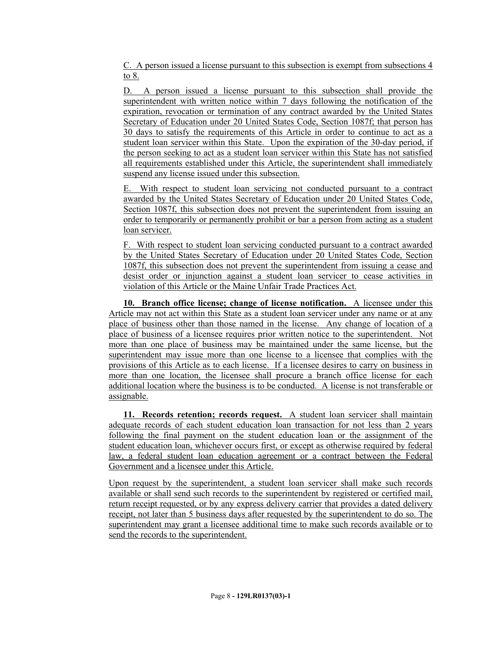C. A person issued a license pursuant to this subsection is exempt from subsections 4 to 8.

D. A person issued a license pursuant to this subsection shall provide the superintendent with written notice within 7 days following the notification of the expiration, revocation or termination of any contract awarded by the United States Secretary of Education under 20 United States Code, Section 1087f; that person has 30 days to satisfy the requirements of this Article in order to continue to act as a student loan servicer within this State. Upon the expiration of the 30-day period, if the person seeking to act as a student loan servicer within this State has not satisfied all requirements established under this Article, the superintendent shall immediately suspend any license issued under this subsection.

E. With respect to student loan servicing not conducted pursuant to a contract awarded by the United States Secretary of Education under 20 United States Code, Section 1087f, this subsection does not prevent the superintendent from issuing an order to temporarily or permanently prohibit or bar a person from acting as a student loan servicer.

F. With respect to student loan servicing conducted pursuant to a contract awarded by the United States Secretary of Education under 20 United States Code, Section 1087f, this subsection does not prevent the superintendent from issuing a cease and desist order or injunction against a student loan servicer to cease activities in violation of this Article or the Maine Unfair Trade Practices Act.

**10. Branch office license; change of license notification.** A licensee under this Article may not act within this State as a student loan servicer under any name or at any place of business other than those named in the license. Any change of location of a place of business of a licensee requires prior written notice to the superintendent. Not more than one place of business may be maintained under the same license, but the superintendent may issue more than one license to a licensee that complies with the provisions of this Article as to each license. If a licensee desires to carry on business in more than one location, the licensee shall procure a branch office license for each additional location where the business is to be conducted. A license is not transferable or assignable.

**11. Records retention; records request.** A student loan servicer shall maintain adequate records of each student education loan transaction for not less than 2 years following the final payment on the student education loan or the assignment of the student education loan, whichever occurs first, or except as otherwise required by federal law, a federal student loan education agreement or a contract between the Federal Government and a licensee under this Article.

Upon request by the superintendent, a student loan servicer shall make such records available or shall send such records to the superintendent by registered or certified mail, return receipt requested, or by any express delivery carrier that provides a dated delivery receipt, not later than 5 business days after requested by the superintendent to do so. The superintendent may grant a licensee additional time to make such records available or to send the records to the superintendent.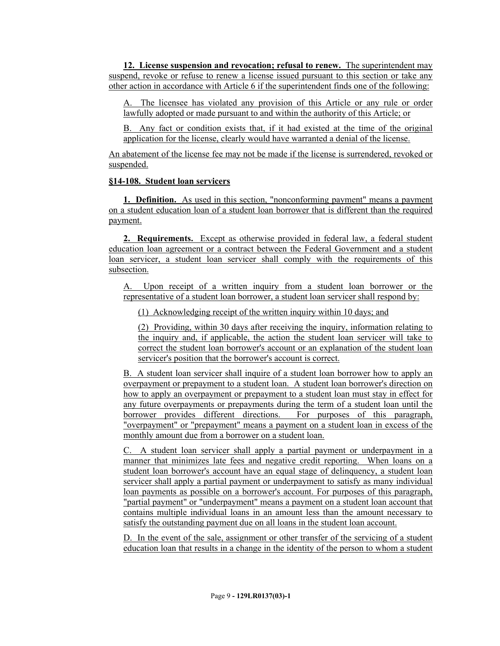**12. License suspension and revocation; refusal to renew.** The superintendent may suspend, revoke or refuse to renew a license issued pursuant to this section or take any other action in accordance with Article 6 if the superintendent finds one of the following:

A. The licensee has violated any provision of this Article or any rule or order lawfully adopted or made pursuant to and within the authority of this Article; or

B. Any fact or condition exists that, if it had existed at the time of the original application for the license, clearly would have warranted a denial of the license.

An abatement of the license fee may not be made if the license is surrendered, revoked or suspended.

### **§14-108. Student loan servicers**

**1. Definition.** As used in this section, "nonconforming payment" means a payment on a student education loan of a student loan borrower that is different than the required payment.

**2. Requirements.** Except as otherwise provided in federal law, a federal student education loan agreement or a contract between the Federal Government and a student loan servicer, a student loan servicer shall comply with the requirements of this subsection.

A. Upon receipt of a written inquiry from a student loan borrower or the representative of a student loan borrower, a student loan servicer shall respond by:

(1) Acknowledging receipt of the written inquiry within 10 days; and

(2) Providing, within 30 days after receiving the inquiry, information relating to the inquiry and, if applicable, the action the student loan servicer will take to correct the student loan borrower's account or an explanation of the student loan servicer's position that the borrower's account is correct.

B. A student loan servicer shall inquire of a student loan borrower how to apply an overpayment or prepayment to a student loan. A student loan borrower's direction on how to apply an overpayment or prepayment to a student loan must stay in effect for any future overpayments or prepayments during the term of a student loan until the borrower provides different directions. For purposes of this paragraph, "overpayment" or "prepayment" means a payment on a student loan in excess of the monthly amount due from a borrower on a student loan.

C. A student loan servicer shall apply a partial payment or underpayment in a manner that minimizes late fees and negative credit reporting. When loans on a student loan borrower's account have an equal stage of delinquency, a student loan servicer shall apply a partial payment or underpayment to satisfy as many individual loan payments as possible on a borrower's account. For purposes of this paragraph, "partial payment" or "underpayment" means a payment on a student loan account that contains multiple individual loans in an amount less than the amount necessary to satisfy the outstanding payment due on all loans in the student loan account.

D. In the event of the sale, assignment or other transfer of the servicing of a student education loan that results in a change in the identity of the person to whom a student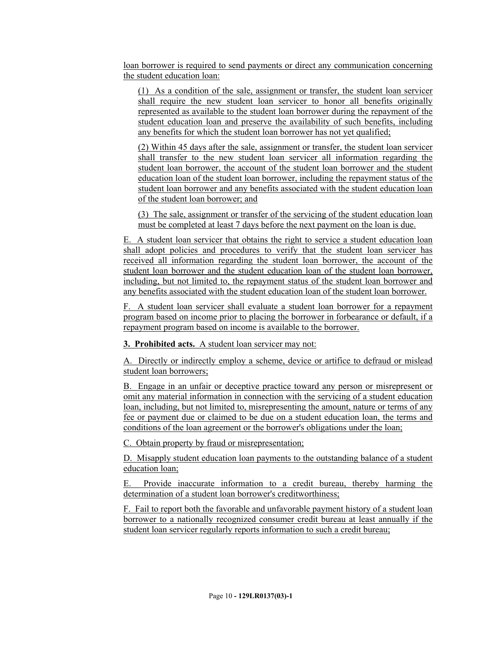loan borrower is required to send payments or direct any communication concerning the student education loan:

(1) As a condition of the sale, assignment or transfer, the student loan servicer shall require the new student loan servicer to honor all benefits originally represented as available to the student loan borrower during the repayment of the student education loan and preserve the availability of such benefits, including any benefits for which the student loan borrower has not yet qualified;

(2) Within 45 days after the sale, assignment or transfer, the student loan servicer shall transfer to the new student loan servicer all information regarding the student loan borrower, the account of the student loan borrower and the student education loan of the student loan borrower, including the repayment status of the student loan borrower and any benefits associated with the student education loan of the student loan borrower; and

(3) The sale, assignment or transfer of the servicing of the student education loan must be completed at least 7 days before the next payment on the loan is due.

E. A student loan servicer that obtains the right to service a student education loan shall adopt policies and procedures to verify that the student loan servicer has received all information regarding the student loan borrower, the account of the student loan borrower and the student education loan of the student loan borrower, including, but not limited to, the repayment status of the student loan borrower and any benefits associated with the student education loan of the student loan borrower.

F. A student loan servicer shall evaluate a student loan borrower for a repayment program based on income prior to placing the borrower in forbearance or default, if a repayment program based on income is available to the borrower.

**3. Prohibited acts.** A student loan servicer may not:

A. Directly or indirectly employ a scheme, device or artifice to defraud or mislead student loan borrowers;

B. Engage in an unfair or deceptive practice toward any person or misrepresent or omit any material information in connection with the servicing of a student education loan, including, but not limited to, misrepresenting the amount, nature or terms of any fee or payment due or claimed to be due on a student education loan, the terms and conditions of the loan agreement or the borrower's obligations under the loan;

C. Obtain property by fraud or misrepresentation;

D. Misapply student education loan payments to the outstanding balance of a student education loan;

E. Provide inaccurate information to a credit bureau, thereby harming the determination of a student loan borrower's creditworthiness;

F. Fail to report both the favorable and unfavorable payment history of a student loan borrower to a nationally recognized consumer credit bureau at least annually if the student loan servicer regularly reports information to such a credit bureau;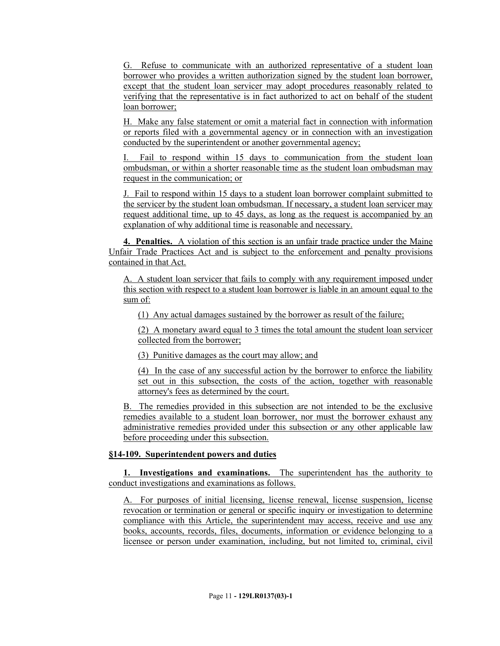G. Refuse to communicate with an authorized representative of a student loan borrower who provides a written authorization signed by the student loan borrower, except that the student loan servicer may adopt procedures reasonably related to verifying that the representative is in fact authorized to act on behalf of the student loan borrower;

H. Make any false statement or omit a material fact in connection with information or reports filed with a governmental agency or in connection with an investigation conducted by the superintendent or another governmental agency;

Fail to respond within 15 days to communication from the student loan ombudsman, or within a shorter reasonable time as the student loan ombudsman may request in the communication; or

J. Fail to respond within 15 days to a student loan borrower complaint submitted to the servicer by the student loan ombudsman. If necessary, a student loan servicer may request additional time, up to 45 days, as long as the request is accompanied by an explanation of why additional time is reasonable and necessary.

**4. Penalties.** A violation of this section is an unfair trade practice under the Maine Unfair Trade Practices Act and is subject to the enforcement and penalty provisions contained in that Act.

A. A student loan servicer that fails to comply with any requirement imposed under this section with respect to a student loan borrower is liable in an amount equal to the sum of:

(1) Any actual damages sustained by the borrower as result of the failure;

(2) A monetary award equal to 3 times the total amount the student loan servicer collected from the borrower;

(3) Punitive damages as the court may allow; and

(4) In the case of any successful action by the borrower to enforce the liability set out in this subsection, the costs of the action, together with reasonable attorney's fees as determined by the court.

B. The remedies provided in this subsection are not intended to be the exclusive remedies available to a student loan borrower, nor must the borrower exhaust any administrative remedies provided under this subsection or any other applicable law before proceeding under this subsection.

# **§14-109. Superintendent powers and duties**

**1. Investigations and examinations.** The superintendent has the authority to conduct investigations and examinations as follows.

A. For purposes of initial licensing, license renewal, license suspension, license revocation or termination or general or specific inquiry or investigation to determine compliance with this Article, the superintendent may access, receive and use any books, accounts, records, files, documents, information or evidence belonging to a licensee or person under examination, including, but not limited to, criminal, civil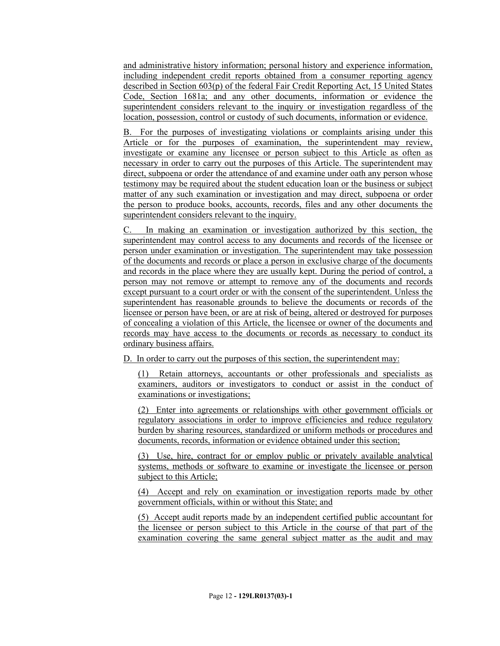and administrative history information; personal history and experience information, including independent credit reports obtained from a consumer reporting agency described in Section 603(p) of the federal Fair Credit Reporting Act, 15 United States Code, Section 1681a; and any other documents, information or evidence the superintendent considers relevant to the inquiry or investigation regardless of the location, possession, control or custody of such documents, information or evidence.

B. For the purposes of investigating violations or complaints arising under this Article or for the purposes of examination, the superintendent may review, investigate or examine any licensee or person subject to this Article as often as necessary in order to carry out the purposes of this Article. The superintendent may direct, subpoena or order the attendance of and examine under oath any person whose testimony may be required about the student education loan or the business or subject matter of any such examination or investigation and may direct, subpoena or order the person to produce books, accounts, records, files and any other documents the superintendent considers relevant to the inquiry.

C. In making an examination or investigation authorized by this section, the superintendent may control access to any documents and records of the licensee or person under examination or investigation. The superintendent may take possession of the documents and records or place a person in exclusive charge of the documents and records in the place where they are usually kept. During the period of control, a person may not remove or attempt to remove any of the documents and records except pursuant to a court order or with the consent of the superintendent. Unless the superintendent has reasonable grounds to believe the documents or records of the licensee or person have been, or are at risk of being, altered or destroyed for purposes of concealing a violation of this Article, the licensee or owner of the documents and records may have access to the documents or records as necessary to conduct its ordinary business affairs.

D. In order to carry out the purposes of this section, the superintendent may:

(1) Retain attorneys, accountants or other professionals and specialists as examiners, auditors or investigators to conduct or assist in the conduct of examinations or investigations;

(2) Enter into agreements or relationships with other government officials or regulatory associations in order to improve efficiencies and reduce regulatory burden by sharing resources, standardized or uniform methods or procedures and documents, records, information or evidence obtained under this section;

(3) Use, hire, contract for or employ public or privately available analytical systems, methods or software to examine or investigate the licensee or person subject to this Article;

(4) Accept and rely on examination or investigation reports made by other government officials, within or without this State; and

(5) Accept audit reports made by an independent certified public accountant for the licensee or person subject to this Article in the course of that part of the examination covering the same general subject matter as the audit and may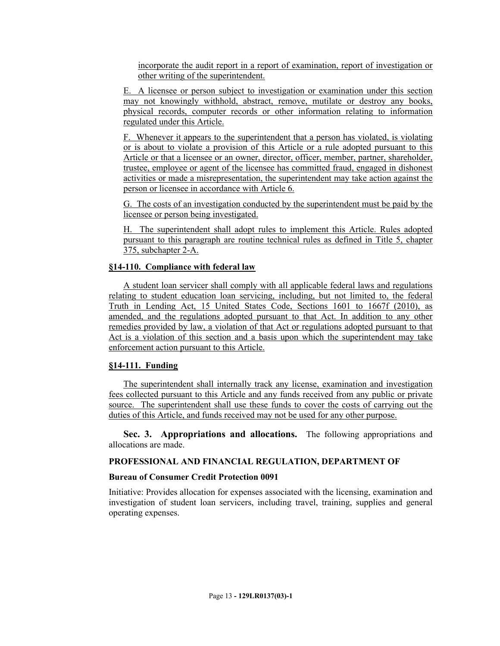incorporate the audit report in a report of examination, report of investigation or other writing of the superintendent.

E. A licensee or person subject to investigation or examination under this section may not knowingly withhold, abstract, remove, mutilate or destroy any books, physical records, computer records or other information relating to information regulated under this Article.

F. Whenever it appears to the superintendent that a person has violated, is violating or is about to violate a provision of this Article or a rule adopted pursuant to this Article or that a licensee or an owner, director, officer, member, partner, shareholder, trustee, employee or agent of the licensee has committed fraud, engaged in dishonest activities or made a misrepresentation, the superintendent may take action against the person or licensee in accordance with Article 6.

G. The costs of an investigation conducted by the superintendent must be paid by the licensee or person being investigated.

H. The superintendent shall adopt rules to implement this Article. Rules adopted pursuant to this paragraph are routine technical rules as defined in Title 5, chapter 375, subchapter 2-A.

### **§14-110. Compliance with federal law**

A student loan servicer shall comply with all applicable federal laws and regulations relating to student education loan servicing, including, but not limited to, the federal Truth in Lending Act, 15 United States Code, Sections 1601 to 1667f (2010), as amended, and the regulations adopted pursuant to that Act. In addition to any other remedies provided by law, a violation of that Act or regulations adopted pursuant to that Act is a violation of this section and a basis upon which the superintendent may take enforcement action pursuant to this Article.

### **§14-111. Funding**

The superintendent shall internally track any license, examination and investigation fees collected pursuant to this Article and any funds received from any public or private source. The superintendent shall use these funds to cover the costs of carrying out the duties of this Article, and funds received may not be used for any other purpose.

**Sec. 3. Appropriations and allocations.** The following appropriations and allocations are made.

### **PROFESSIONAL AND FINANCIAL REGULATION, DEPARTMENT OF**

### **Bureau of Consumer Credit Protection 0091**

Initiative: Provides allocation for expenses associated with the licensing, examination and investigation of student loan servicers, including travel, training, supplies and general operating expenses.